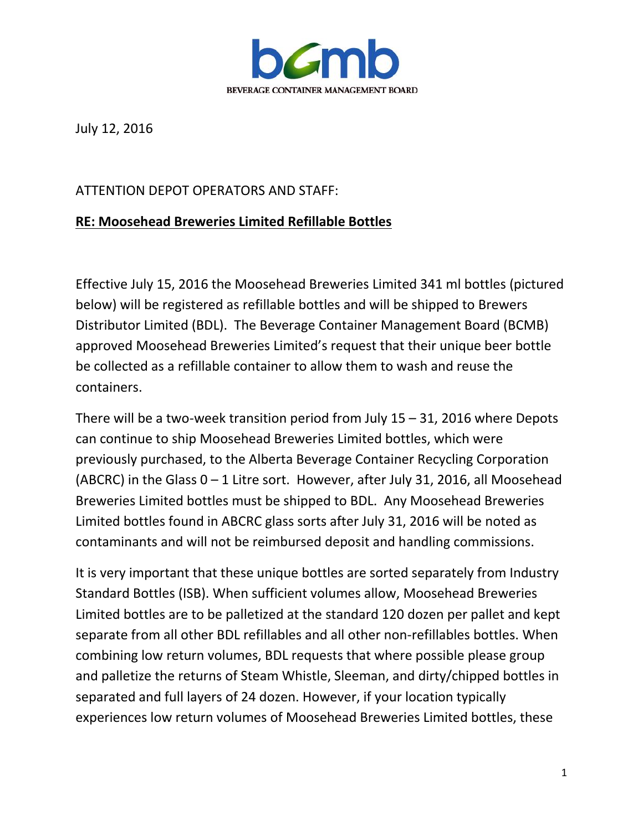

July 12, 2016

## ATTENTION DEPOT OPERATORS AND STAFF:

## **RE: Moosehead Breweries Limited Refillable Bottles**

Effective July 15, 2016 the Moosehead Breweries Limited 341 ml bottles (pictured below) will be registered as refillable bottles and will be shipped to Brewers Distributor Limited (BDL). The Beverage Container Management Board (BCMB) approved Moosehead Breweries Limited's request that their unique beer bottle be collected as a refillable container to allow them to wash and reuse the containers.

There will be a two-week transition period from July 15 – 31, 2016 where Depots can continue to ship Moosehead Breweries Limited bottles, which were previously purchased, to the Alberta Beverage Container Recycling Corporation (ABCRC) in the Glass 0 – 1 Litre sort. However, after July 31, 2016, all Moosehead Breweries Limited bottles must be shipped to BDL. Any Moosehead Breweries Limited bottles found in ABCRC glass sorts after July 31, 2016 will be noted as contaminants and will not be reimbursed deposit and handling commissions.

It is very important that these unique bottles are sorted separately from Industry Standard Bottles (ISB). When sufficient volumes allow, Moosehead Breweries Limited bottles are to be palletized at the standard 120 dozen per pallet and kept separate from all other BDL refillables and all other non-refillables bottles. When combining low return volumes, BDL requests that where possible please group and palletize the returns of Steam Whistle, Sleeman, and dirty/chipped bottles in separated and full layers of 24 dozen. However, if your location typically experiences low return volumes of Moosehead Breweries Limited bottles, these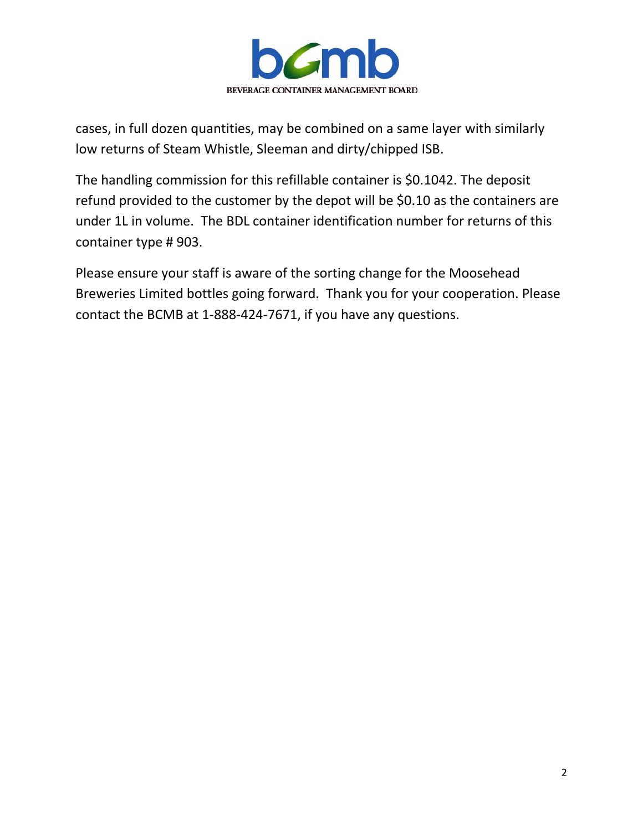

cases, in full dozen quantities, may be combined on a same layer with similarly low returns of Steam Whistle, Sleeman and dirty/chipped ISB.

The handling commission for this refillable container is \$0.1042. The deposit refund provided to the customer by the depot will be \$0.10 as the containers are under 1L in volume. The BDL container identification number for returns of this container type # 903.

Please ensure your staff is aware of the sorting change for the Moosehead Breweries Limited bottles going forward. Thank you for your cooperation. Please contact the BCMB at 1-888-424-7671, if you have any questions.